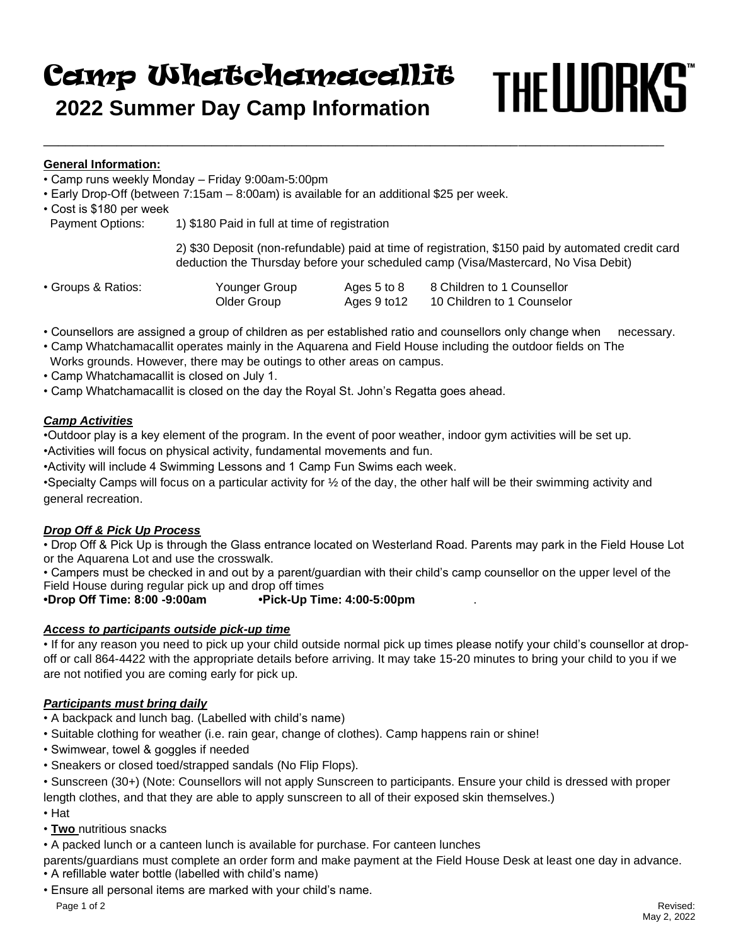# THE LUORKS Camp Whatchamacallit  **2022 Summer Day Camp Information**

\_\_\_\_\_\_\_\_\_\_\_\_\_\_\_\_\_\_\_\_\_\_\_\_\_\_\_\_\_\_\_\_\_\_\_\_\_\_\_\_\_\_\_\_\_\_\_\_\_\_\_\_\_\_\_\_\_\_\_\_\_\_\_\_\_\_\_\_\_\_\_\_\_\_\_\_\_\_\_\_\_\_\_\_\_

# **General Information:**

- Camp runs weekly Monday Friday 9:00am-5:00pm
- Early Drop-Off (between 7:15am 8:00am) is available for an additional \$25 per week.
- Cost is \$180 per week

Payment Options: 1) \$180 Paid in full at time of registration

2) \$30 Deposit (non-refundable) paid at time of registration, \$150 paid by automated credit card deduction the Thursday before your scheduled camp (Visa/Mastercard, No Visa Debit)

| • Groups & Ratios: | Younger Group | Ages 5 to 8  | 8 Children to 1 Counsellor |
|--------------------|---------------|--------------|----------------------------|
|                    | Older Group   | Ages 9 to 12 | 10 Children to 1 Counselor |

- Counsellors are assigned a group of children as per established ratio and counsellors only change when necessary.
- Camp Whatchamacallit operates mainly in the Aquarena and Field House including the outdoor fields on The Works grounds. However, there may be outings to other areas on campus.
- Camp Whatchamacallit is closed on July 1.
- Camp Whatchamacallit is closed on the day the Royal St. John's Regatta goes ahead.

### *Camp Activities*

•Outdoor play is a key element of the program. In the event of poor weather, indoor gym activities will be set up. •Activities will focus on physical activity, fundamental movements and fun.

•Activity will include 4 Swimming Lessons and 1 Camp Fun Swims each week.

•Specialty Camps will focus on a particular activity for ½ of the day, the other half will be their swimming activity and general recreation.

# *Drop Off & Pick Up Process*

• Drop Off & Pick Up is through the Glass entrance located on Westerland Road. Parents may park in the Field House Lot or the Aquarena Lot and use the crosswalk.

• Campers must be checked in and out by a parent/guardian with their child's camp counsellor on the upper level of the Field House during regular pick up and drop off times

**•Drop Off Time: 8:00 -9:00am •Pick-Up Time: 4:00-5:00pm** .

# *Access to participants outside pick-up time*

• If for any reason you need to pick up your child outside normal pick up times please notify your child's counsellor at dropoff or call 864-4422 with the appropriate details before arriving. It may take 15-20 minutes to bring your child to you if we are not notified you are coming early for pick up.

#### *Participants must bring daily*

- A backpack and lunch bag. (Labelled with child's name)
- Suitable clothing for weather (i.e. rain gear, change of clothes). Camp happens rain or shine!
- Swimwear, towel & goggles if needed
- Sneakers or closed toed/strapped sandals (No Flip Flops).
- Sunscreen (30+) (Note: Counsellors will not apply Sunscreen to participants. Ensure your child is dressed with proper length clothes, and that they are able to apply sunscreen to all of their exposed skin themselves.)
- Hat
- **Two** nutritious snacks
- A packed lunch or a canteen lunch is available for purchase. For canteen lunches
- parents/guardians must complete an order form and make payment at the Field House Desk at least one day in advance.
- A refillable water bottle (labelled with child's name)
- Ensure all personal items are marked with your child's name.